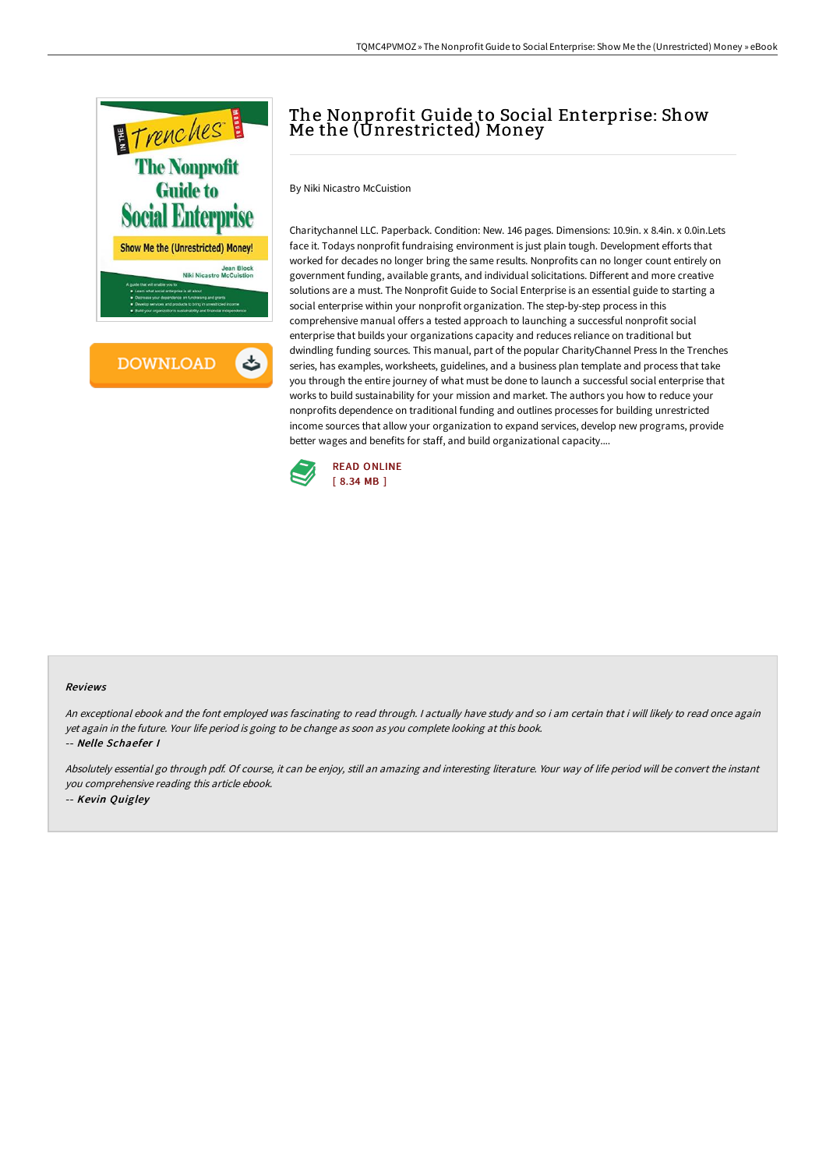

# The Nonprofit Guide to Social Enterprise: Show Me the (Unrestricted) Money

By Niki Nicastro McCuistion

Charitychannel LLC. Paperback. Condition: New. 146 pages. Dimensions: 10.9in. x 8.4in. x 0.0in.Lets face it. Todays nonprofit fundraising environment is just plain tough. Development efforts that worked for decades no longer bring the same results. Nonprofits can no longer count entirely on government funding, available grants, and individual solicitations. Different and more creative solutions are a must. The Nonprofit Guide to Social Enterprise is an essential guide to starting a social enterprise within your nonprofit organization. The step-by-step process in this comprehensive manual offers a tested approach to launching a successful nonprofit social enterprise that builds your organizations capacity and reduces reliance on traditional but dwindling funding sources. This manual, part of the popular CharityChannel Press In the Trenches series, has examples, worksheets, guidelines, and a business plan template and process that take you through the entire journey of what must be done to launch a successful social enterprise that works to build sustainability for your mission and market. The authors you how to reduce your nonprofits dependence on traditional funding and outlines processes for building unrestricted income sources that allow your organization to expand services, develop new programs, provide better wages and benefits for staff, and build organizational capacity....



#### Reviews

An exceptional ebook and the font employed was fascinating to read through. <sup>I</sup> actually have study and so i am certain that i will likely to read once again yet again in the future. Your life period is going to be change as soon as you complete looking at this book. -- Nelle Schaefer I

Absolutely essential go through pdf. Of course, it can be enjoy, still an amazing and interesting literature. Your way of life period will be convert the instant you comprehensive reading this article ebook. -- Kevin Quigley